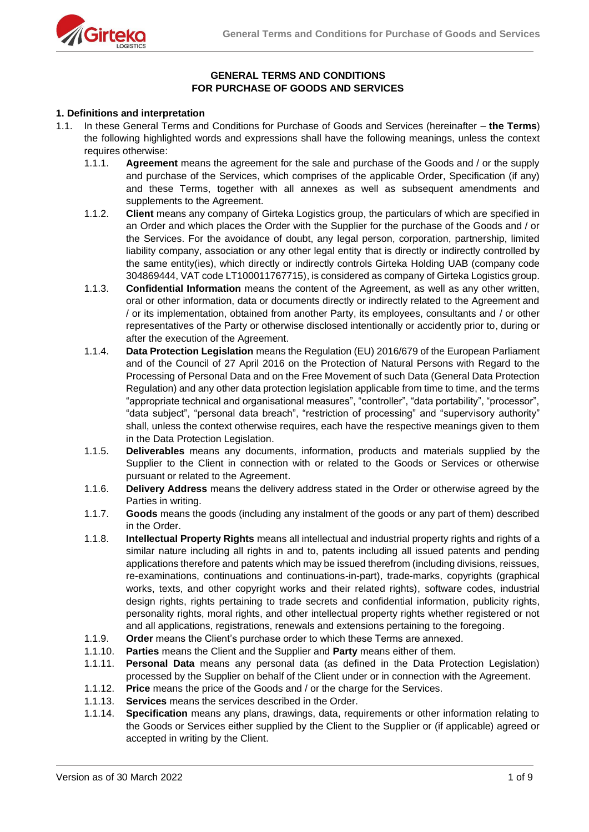

# **GENERAL TERMS AND CONDITIONS FOR PURCHASE OF GOODS AND SERVICES**

#### **1. Definitions and interpretation**

- 1.1. In these General Terms and Conditions for Purchase of Goods and Services (hereinafter **the Terms**) the following highlighted words and expressions shall have the following meanings, unless the context requires otherwise:
	- 1.1.1. **Agreement** means the agreement for the sale and purchase of the Goods and / or the supply and purchase of the Services, which comprises of the applicable Order, Specification (if any) and these Terms, together with all annexes as well as subsequent amendments and supplements to the Agreement.
	- 1.1.2. **Client** means any company of Girteka Logistics group, the particulars of which are specified in an Order and which places the Order with the Supplier for the purchase of the Goods and / or the Services. For the avoidance of doubt, any legal person, corporation, partnership, limited liability company, association or any other legal entity that is directly or indirectly controlled by the same entity(ies), which directly or indirectly controls Girteka Holding UAB (company code 304869444, VAT code LT100011767715), is considered as company of Girteka Logistics group.
	- 1.1.3. **Confidential Information** means the content of the Agreement, as well as any other written, oral or other information, data or documents directly or indirectly related to the Agreement and / or its implementation, obtained from another Party, its employees, consultants and / or other representatives of the Party or otherwise disclosed intentionally or accidently prior to, during or after the execution of the Agreement.
	- 1.1.4. **Data Protection Legislation** means the Regulation (EU) 2016/679 of the European Parliament and of the Council of 27 April 2016 on the Protection of Natural Persons with Regard to the Processing of Personal Data and on the Free Movement of such Data (General Data Protection Regulation) and any other data protection legislation applicable from time to time, and the terms "appropriate technical and organisational measures", "controller", "data portability", "processor", "data subject", "personal data breach", "restriction of processing" and "supervisory authority" shall, unless the context otherwise requires, each have the respective meanings given to them in the Data Protection Legislation.
	- 1.1.5. **Deliverables** means any documents, information, products and materials supplied by the Supplier to the Client in connection with or related to the Goods or Services or otherwise pursuant or related to the Agreement.
	- 1.1.6. **Delivery Address** means the delivery address stated in the Order or otherwise agreed by the Parties in writing.
	- 1.1.7. **Goods** means the goods (including any instalment of the goods or any part of them) described in the Order.
	- 1.1.8. **Intellectual Property Rights** means all intellectual and industrial property rights and rights of a similar nature including all rights in and to, patents including all issued patents and pending applications therefore and patents which may be issued therefrom (including divisions, reissues, re-examinations, continuations and continuations-in-part), trade-marks, copyrights (graphical works, texts, and other copyright works and their related rights), software codes, industrial design rights, rights pertaining to trade secrets and confidential information, publicity rights, personality rights, moral rights, and other intellectual property rights whether registered or not and all applications, registrations, renewals and extensions pertaining to the foregoing.
	- 1.1.9. **Order** means the Client's purchase order to which these Terms are annexed.
	- 1.1.10. **Parties** means the Client and the Supplier and **Party** means either of them.
	- 1.1.11. **Personal Data** means any personal data (as defined in the Data Protection Legislation) processed by the Supplier on behalf of the Client under or in connection with the Agreement.
	- 1.1.12. **Price** means the price of the Goods and / or the charge for the Services.
	- 1.1.13. **Services** means the services described in the Order.
	- 1.1.14. **Specification** means any plans, drawings, data, requirements or other information relating to the Goods or Services either supplied by the Client to the Supplier or (if applicable) agreed or accepted in writing by the Client.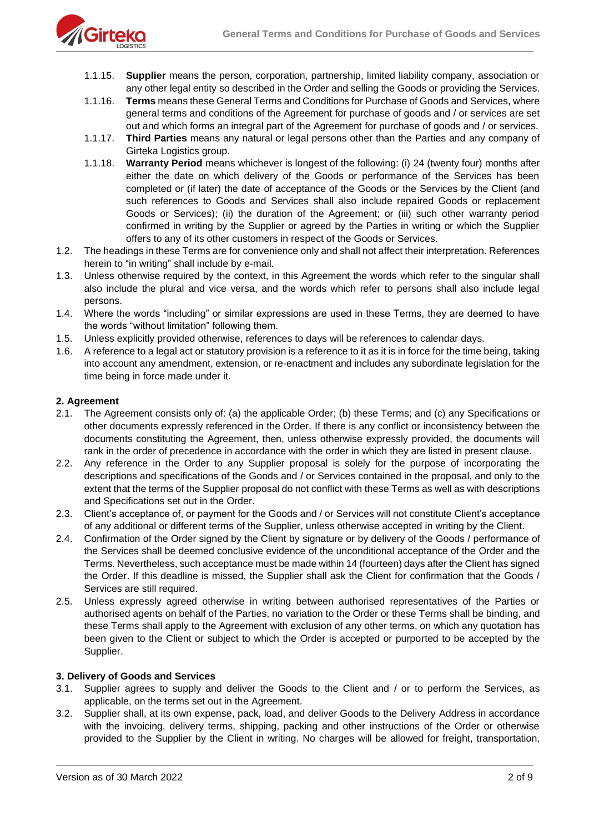

- 1.1.15. **Supplier** means the person, corporation, partnership, limited liability company, association or any other legal entity so described in the Order and selling the Goods or providing the Services.
- 1.1.16. **Terms** means these General Terms and Conditions for Purchase of Goods and Services, where general terms and conditions of the Agreement for purchase of goods and / or services are set out and which forms an integral part of the Agreement for purchase of goods and / or services.
- 1.1.17. **Third Parties** means any natural or legal persons other than the Parties and any company of Girteka Logistics group.
- 1.1.18. **Warranty Period** means whichever is longest of the following: (i) 24 (twenty four) months after either the date on which delivery of the Goods or performance of the Services has been completed or (if later) the date of acceptance of the Goods or the Services by the Client (and such references to Goods and Services shall also include repaired Goods or replacement Goods or Services); (ii) the duration of the Agreement; or (iii) such other warranty period confirmed in writing by the Supplier or agreed by the Parties in writing or which the Supplier offers to any of its other customers in respect of the Goods or Services.
- 1.2. The headings in these Terms are for convenience only and shall not affect their interpretation. References herein to "in writing" shall include by e-mail.
- 1.3. Unless otherwise required by the context, in this Agreement the words which refer to the singular shall also include the plural and vice versa, and the words which refer to persons shall also include legal persons.
- 1.4. Where the words "including" or similar expressions are used in these Terms, they are deemed to have the words "without limitation" following them.
- 1.5. Unless explicitly provided otherwise, references to days will be references to calendar days.
- 1.6. A reference to a legal act or statutory provision is a reference to it as it is in force for the time being, taking into account any amendment, extension, or re-enactment and includes any subordinate legislation for the time being in force made under it.

## **2. Agreement**

- 2.1. The Agreement consists only of: (a) the applicable Order; (b) these Terms; and (c) any Specifications or other documents expressly referenced in the Order. If there is any conflict or inconsistency between the documents constituting the Agreement, then, unless otherwise expressly provided, the documents will rank in the order of precedence in accordance with the order in which they are listed in present clause.
- 2.2. Any reference in the Order to any Supplier proposal is solely for the purpose of incorporating the descriptions and specifications of the Goods and / or Services contained in the proposal, and only to the extent that the terms of the Supplier proposal do not conflict with these Terms as well as with descriptions and Specifications set out in the Order.
- 2.3. Client's acceptance of, or payment for the Goods and / or Services will not constitute Client's acceptance of any additional or different terms of the Supplier, unless otherwise accepted in writing by the Client.
- 2.4. Confirmation of the Order signed by the Client by signature or by delivery of the Goods / performance of the Services shall be deemed conclusive evidence of the unconditional acceptance of the Order and the Terms. Nevertheless, such acceptance must be made within 14 (fourteen) days after the Client has signed the Order. If this deadline is missed, the Supplier shall ask the Client for confirmation that the Goods / Services are still required.
- 2.5. Unless expressly agreed otherwise in writing between authorised representatives of the Parties or authorised agents on behalf of the Parties, no variation to the Order or these Terms shall be binding, and these Terms shall apply to the Agreement with exclusion of any other terms, on which any quotation has been given to the Client or subject to which the Order is accepted or purported to be accepted by the Supplier.

#### **3. Delivery of Goods and Services**

- 3.1. Supplier agrees to supply and deliver the Goods to the Client and / or to perform the Services, as applicable, on the terms set out in the Agreement.
- 3.2. Supplier shall, at its own expense, pack, load, and deliver Goods to the Delivery Address in accordance with the invoicing, delivery terms, shipping, packing and other instructions of the Order or otherwise provided to the Supplier by the Client in writing. No charges will be allowed for freight, transportation,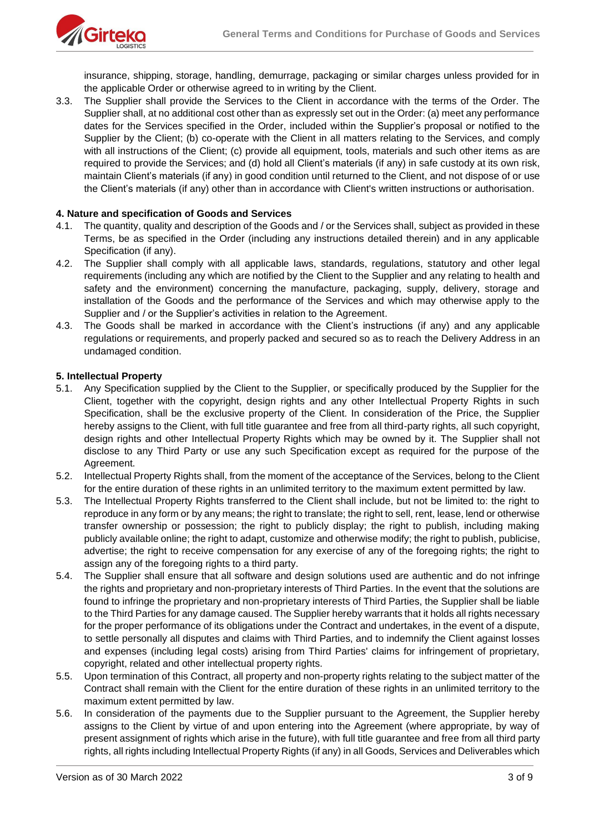

insurance, shipping, storage, handling, demurrage, packaging or similar charges unless provided for in the applicable Order or otherwise agreed to in writing by the Client.

3.3. The Supplier shall provide the Services to the Client in accordance with the terms of the Order. The Supplier shall, at no additional cost other than as expressly set out in the Order: (a) meet any performance dates for the Services specified in the Order, included within the Supplier's proposal or notified to the Supplier by the Client; (b) co-operate with the Client in all matters relating to the Services, and comply with all instructions of the Client; (c) provide all equipment, tools, materials and such other items as are required to provide the Services; and (d) hold all Client's materials (if any) in safe custody at its own risk, maintain Client's materials (if any) in good condition until returned to the Client, and not dispose of or use the Client's materials (if any) other than in accordance with Client's written instructions or authorisation.

## **4. Nature and specification of Goods and Services**

- 4.1. The quantity, quality and description of the Goods and / or the Services shall, subject as provided in these Terms, be as specified in the Order (including any instructions detailed therein) and in any applicable Specification (if any).
- 4.2. The Supplier shall comply with all applicable laws, standards, regulations, statutory and other legal requirements (including any which are notified by the Client to the Supplier and any relating to health and safety and the environment) concerning the manufacture, packaging, supply, delivery, storage and installation of the Goods and the performance of the Services and which may otherwise apply to the Supplier and / or the Supplier's activities in relation to the Agreement.
- 4.3. The Goods shall be marked in accordance with the Client's instructions (if any) and any applicable regulations or requirements, and properly packed and secured so as to reach the Delivery Address in an undamaged condition.

## **5. Intellectual Property**

- 5.1. Any Specification supplied by the Client to the Supplier, or specifically produced by the Supplier for the Client, together with the copyright, design rights and any other Intellectual Property Rights in such Specification, shall be the exclusive property of the Client. In consideration of the Price, the Supplier hereby assigns to the Client, with full title guarantee and free from all third-party rights, all such copyright, design rights and other Intellectual Property Rights which may be owned by it. The Supplier shall not disclose to any Third Party or use any such Specification except as required for the purpose of the Agreement.
- 5.2. Intellectual Property Rights shall, from the moment of the acceptance of the Services, belong to the Client for the entire duration of these rights in an unlimited territory to the maximum extent permitted by law.
- 5.3. The Intellectual Property Rights transferred to the Client shall include, but not be limited to: the right to reproduce in any form or by any means; the right to translate; the right to sell, rent, lease, lend or otherwise transfer ownership or possession; the right to publicly display; the right to publish, including making publicly available online; the right to adapt, customize and otherwise modify; the right to publish, publicise, advertise; the right to receive compensation for any exercise of any of the foregoing rights; the right to assign any of the foregoing rights to a third party.
- 5.4. The Supplier shall ensure that all software and design solutions used are authentic and do not infringe the rights and proprietary and non-proprietary interests of Third Parties. In the event that the solutions are found to infringe the proprietary and non-proprietary interests of Third Parties, the Supplier shall be liable to the Third Parties for any damage caused. The Supplier hereby warrants that it holds all rights necessary for the proper performance of its obligations under the Contract and undertakes, in the event of a dispute, to settle personally all disputes and claims with Third Parties, and to indemnify the Client against losses and expenses (including legal costs) arising from Third Parties' claims for infringement of proprietary, copyright, related and other intellectual property rights.
- 5.5. Upon termination of this Contract, all property and non-property rights relating to the subject matter of the Contract shall remain with the Client for the entire duration of these rights in an unlimited territory to the maximum extent permitted by law.
- 5.6. In consideration of the payments due to the Supplier pursuant to the Agreement, the Supplier hereby assigns to the Client by virtue of and upon entering into the Agreement (where appropriate, by way of present assignment of rights which arise in the future), with full title guarantee and free from all third party rights, all rights including Intellectual Property Rights (if any) in all Goods, Services and Deliverables which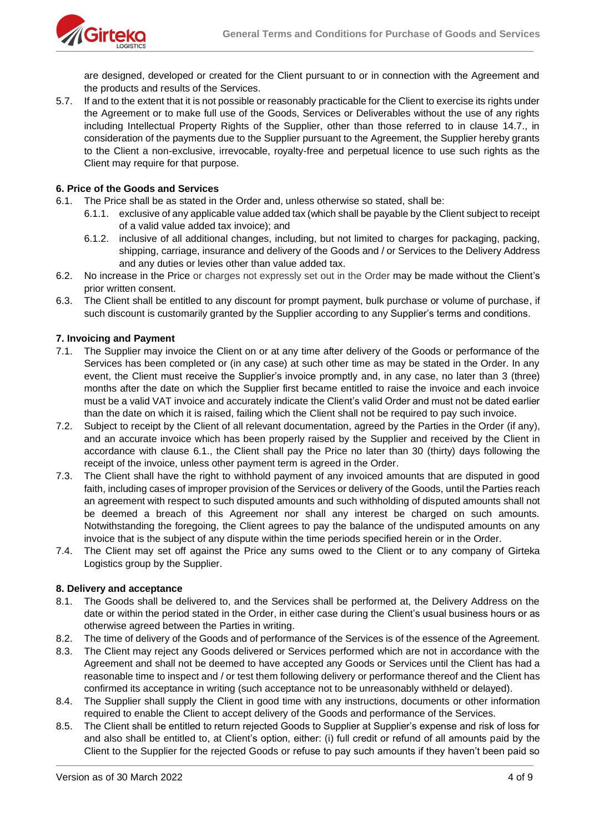

are designed, developed or created for the Client pursuant to or in connection with the Agreement and the products and results of the Services.

5.7. If and to the extent that it is not possible or reasonably practicable for the Client to exercise its rights under the Agreement or to make full use of the Goods, Services or Deliverables without the use of any rights including Intellectual Property Rights of the Supplier, other than those referred to in clause 14.7., in consideration of the payments due to the Supplier pursuant to the Agreement, the Supplier hereby grants to the Client a non-exclusive, irrevocable, royalty-free and perpetual licence to use such rights as the Client may require for that purpose.

### **6. Price of the Goods and Services**

- 6.1. The Price shall be as stated in the Order and, unless otherwise so stated, shall be:
	- 6.1.1. exclusive of any applicable value added tax (which shall be payable by the Client subject to receipt of a valid value added tax invoice); and
	- 6.1.2. inclusive of all additional changes, including, but not limited to charges for packaging, packing, shipping, carriage, insurance and delivery of the Goods and / or Services to the Delivery Address and any duties or levies other than value added tax.
- 6.2. No increase in the Price or charges not expressly set out in the Order may be made without the Client's prior written consent.
- 6.3. The Client shall be entitled to any discount for prompt payment, bulk purchase or volume of purchase, if such discount is customarily granted by the Supplier according to any Supplier's terms and conditions.

## **7. Invoicing and Payment**

- 7.1. The Supplier may invoice the Client on or at any time after delivery of the Goods or performance of the Services has been completed or (in any case) at such other time as may be stated in the Order. In any event, the Client must receive the Supplier's invoice promptly and, in any case, no later than 3 (three) months after the date on which the Supplier first became entitled to raise the invoice and each invoice must be a valid VAT invoice and accurately indicate the Client's valid Order and must not be dated earlier than the date on which it is raised, failing which the Client shall not be required to pay such invoice.
- 7.2. Subject to receipt by the Client of all relevant documentation, agreed by the Parties in the Order (if any), and an accurate invoice which has been properly raised by the Supplier and received by the Client in accordance with clause 6.1., the Client shall pay the Price no later than 30 (thirty) days following the receipt of the invoice, unless other payment term is agreed in the Order.
- 7.3. The Client shall have the right to withhold payment of any invoiced amounts that are disputed in good faith, including cases of improper provision of the Services or delivery of the Goods, until the Parties reach an agreement with respect to such disputed amounts and such withholding of disputed amounts shall not be deemed a breach of this Agreement nor shall any interest be charged on such amounts. Notwithstanding the foregoing, the Client agrees to pay the balance of the undisputed amounts on any invoice that is the subject of any dispute within the time periods specified herein or in the Order.
- 7.4. The Client may set off against the Price any sums owed to the Client or to any company of Girteka Logistics group by the Supplier.

#### **8. Delivery and acceptance**

- 8.1. The Goods shall be delivered to, and the Services shall be performed at, the Delivery Address on the date or within the period stated in the Order, in either case during the Client's usual business hours or as otherwise agreed between the Parties in writing.
- 8.2. The time of delivery of the Goods and of performance of the Services is of the essence of the Agreement.
- 8.3. The Client may reject any Goods delivered or Services performed which are not in accordance with the Agreement and shall not be deemed to have accepted any Goods or Services until the Client has had a reasonable time to inspect and / or test them following delivery or performance thereof and the Client has confirmed its acceptance in writing (such acceptance not to be unreasonably withheld or delayed).
- 8.4. The Supplier shall supply the Client in good time with any instructions, documents or other information required to enable the Client to accept delivery of the Goods and performance of the Services.
- 8.5. The Client shall be entitled to return rejected Goods to Supplier at Supplier's expense and risk of loss for and also shall be entitled to, at Client's option, either: (i) full credit or refund of all amounts paid by the Client to the Supplier for the rejected Goods or refuse to pay such amounts if they haven't been paid so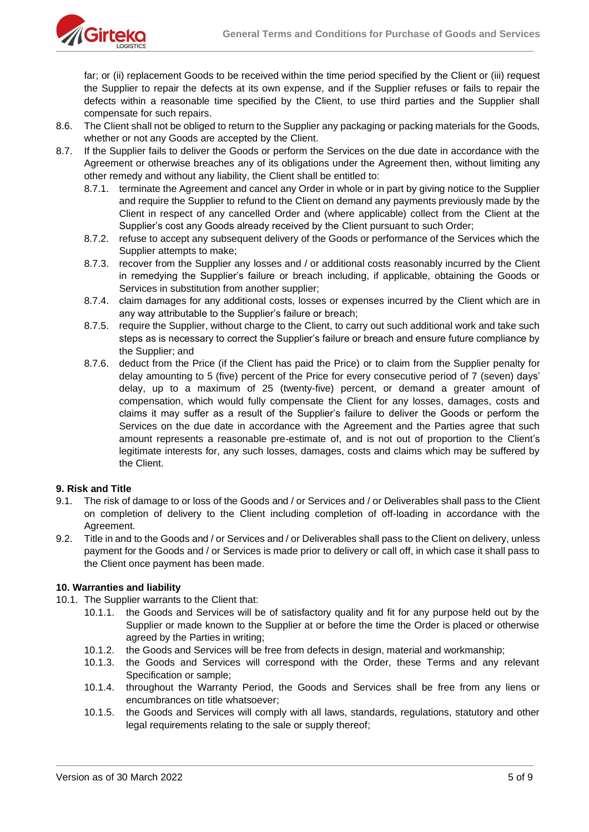

far; or (ii) replacement Goods to be received within the time period specified by the Client or (iii) request the Supplier to repair the defects at its own expense, and if the Supplier refuses or fails to repair the defects within a reasonable time specified by the Client, to use third parties and the Supplier shall compensate for such repairs.

- 8.6. The Client shall not be obliged to return to the Supplier any packaging or packing materials for the Goods, whether or not any Goods are accepted by the Client.
- 8.7. If the Supplier fails to deliver the Goods or perform the Services on the due date in accordance with the Agreement or otherwise breaches any of its obligations under the Agreement then, without limiting any other remedy and without any liability, the Client shall be entitled to:
	- 8.7.1. terminate the Agreement and cancel any Order in whole or in part by giving notice to the Supplier and require the Supplier to refund to the Client on demand any payments previously made by the Client in respect of any cancelled Order and (where applicable) collect from the Client at the Supplier's cost any Goods already received by the Client pursuant to such Order;
	- 8.7.2. refuse to accept any subsequent delivery of the Goods or performance of the Services which the Supplier attempts to make;
	- 8.7.3. recover from the Supplier any losses and / or additional costs reasonably incurred by the Client in remedying the Supplier's failure or breach including, if applicable, obtaining the Goods or Services in substitution from another supplier;
	- 8.7.4. claim damages for any additional costs, losses or expenses incurred by the Client which are in any way attributable to the Supplier's failure or breach;
	- 8.7.5. require the Supplier, without charge to the Client, to carry out such additional work and take such steps as is necessary to correct the Supplier's failure or breach and ensure future compliance by the Supplier; and
	- 8.7.6. deduct from the Price (if the Client has paid the Price) or to claim from the Supplier penalty for delay amounting to 5 (five) percent of the Price for every consecutive period of 7 (seven) days' delay, up to a maximum of 25 (twenty-five) percent, or demand a greater amount of compensation, which would fully compensate the Client for any losses, damages, costs and claims it may suffer as a result of the Supplier's failure to deliver the Goods or perform the Services on the due date in accordance with the Agreement and the Parties agree that such amount represents a reasonable pre-estimate of, and is not out of proportion to the Client's legitimate interests for, any such losses, damages, costs and claims which may be suffered by the Client.

# **9. Risk and Title**

- 9.1. The risk of damage to or loss of the Goods and / or Services and / or Deliverables shall pass to the Client on completion of delivery to the Client including completion of off-loading in accordance with the Agreement.
- 9.2. Title in and to the Goods and / or Services and / or Deliverables shall pass to the Client on delivery, unless payment for the Goods and / or Services is made prior to delivery or call off, in which case it shall pass to the Client once payment has been made.

# **10. Warranties and liability**

- 10.1. The Supplier warrants to the Client that:
	- 10.1.1. the Goods and Services will be of satisfactory quality and fit for any purpose held out by the Supplier or made known to the Supplier at or before the time the Order is placed or otherwise agreed by the Parties in writing;
	- 10.1.2. the Goods and Services will be free from defects in design, material and workmanship;
	- 10.1.3. the Goods and Services will correspond with the Order, these Terms and any relevant Specification or sample;
	- 10.1.4. throughout the Warranty Period, the Goods and Services shall be free from any liens or encumbrances on title whatsoever;
	- 10.1.5. the Goods and Services will comply with all laws, standards, regulations, statutory and other legal requirements relating to the sale or supply thereof;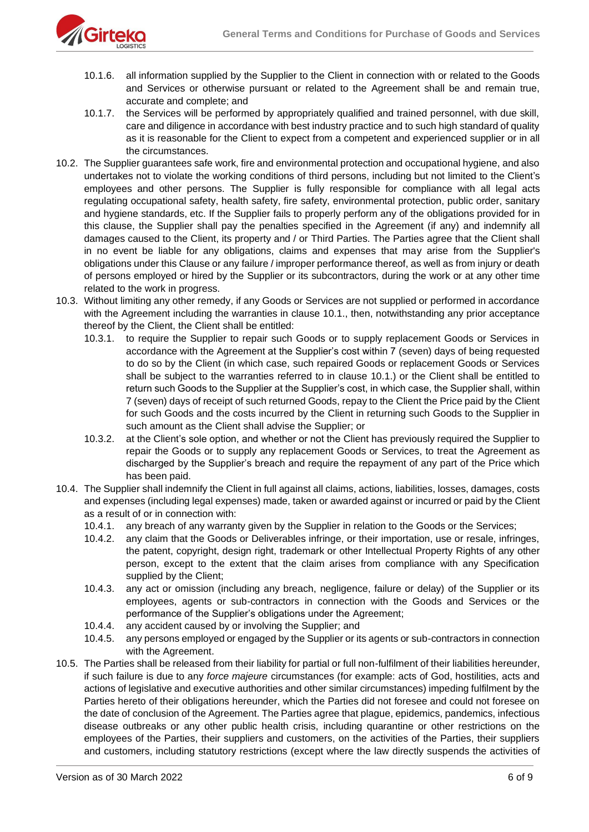

- 10.1.6. all information supplied by the Supplier to the Client in connection with or related to the Goods and Services or otherwise pursuant or related to the Agreement shall be and remain true, accurate and complete; and
- 10.1.7. the Services will be performed by appropriately qualified and trained personnel, with due skill, care and diligence in accordance with best industry practice and to such high standard of quality as it is reasonable for the Client to expect from a competent and experienced supplier or in all the circumstances.
- 10.2. The Supplier guarantees safe work, fire and environmental protection and occupational hygiene, and also undertakes not to violate the working conditions of third persons, including but not limited to the Client's employees and other persons. The Supplier is fully responsible for compliance with all legal acts regulating occupational safety, health safety, fire safety, environmental protection, public order, sanitary and hygiene standards, etc. If the Supplier fails to properly perform any of the obligations provided for in this clause, the Supplier shall pay the penalties specified in the Agreement (if any) and indemnify all damages caused to the Client, its property and / or Third Parties. The Parties agree that the Client shall in no event be liable for any obligations, claims and expenses that may arise from the Supplier's obligations under this Clause or any failure / improper performance thereof, as well as from injury or death of persons employed or hired by the Supplier or its subcontractors, during the work or at any other time related to the work in progress.
- 10.3. Without limiting any other remedy, if any Goods or Services are not supplied or performed in accordance with the Agreement including the warranties in clause 10.1., then, notwithstanding any prior acceptance thereof by the Client, the Client shall be entitled:
	- 10.3.1. to require the Supplier to repair such Goods or to supply replacement Goods or Services in accordance with the Agreement at the Supplier's cost within 7 (seven) days of being requested to do so by the Client (in which case, such repaired Goods or replacement Goods or Services shall be subject to the warranties referred to in clause 10.1.) or the Client shall be entitled to return such Goods to the Supplier at the Supplier's cost, in which case, the Supplier shall, within 7 (seven) days of receipt of such returned Goods, repay to the Client the Price paid by the Client for such Goods and the costs incurred by the Client in returning such Goods to the Supplier in such amount as the Client shall advise the Supplier; or
	- 10.3.2. at the Client's sole option, and whether or not the Client has previously required the Supplier to repair the Goods or to supply any replacement Goods or Services, to treat the Agreement as discharged by the Supplier's breach and require the repayment of any part of the Price which has been paid.
- 10.4. The Supplier shall indemnify the Client in full against all claims, actions, liabilities, losses, damages, costs and expenses (including legal expenses) made, taken or awarded against or incurred or paid by the Client as a result of or in connection with:
	- 10.4.1. any breach of any warranty given by the Supplier in relation to the Goods or the Services;
	- 10.4.2. any claim that the Goods or Deliverables infringe, or their importation, use or resale, infringes, the patent, copyright, design right, trademark or other Intellectual Property Rights of any other person, except to the extent that the claim arises from compliance with any Specification supplied by the Client;
	- 10.4.3. any act or omission (including any breach, negligence, failure or delay) of the Supplier or its employees, agents or sub-contractors in connection with the Goods and Services or the performance of the Supplier's obligations under the Agreement;
	- 10.4.4. any accident caused by or involving the Supplier; and
	- 10.4.5. any persons employed or engaged by the Supplier or its agents or sub-contractors in connection with the Agreement.
- 10.5. The Parties shall be released from their liability for partial or full non-fulfilment of their liabilities hereunder, if such failure is due to any *force majeure* circumstances (for example: acts of God, hostilities, acts and actions of legislative and executive authorities and other similar circumstances) impeding fulfilment by the Parties hereto of their obligations hereunder, which the Parties did not foresee and could not foresee on the date of conclusion of the Agreement. The Parties agree that plague, epidemics, pandemics, infectious disease outbreaks or any other public health crisis, including quarantine or other restrictions on the employees of the Parties, their suppliers and customers, on the activities of the Parties, their suppliers and customers, including statutory restrictions (except where the law directly suspends the activities of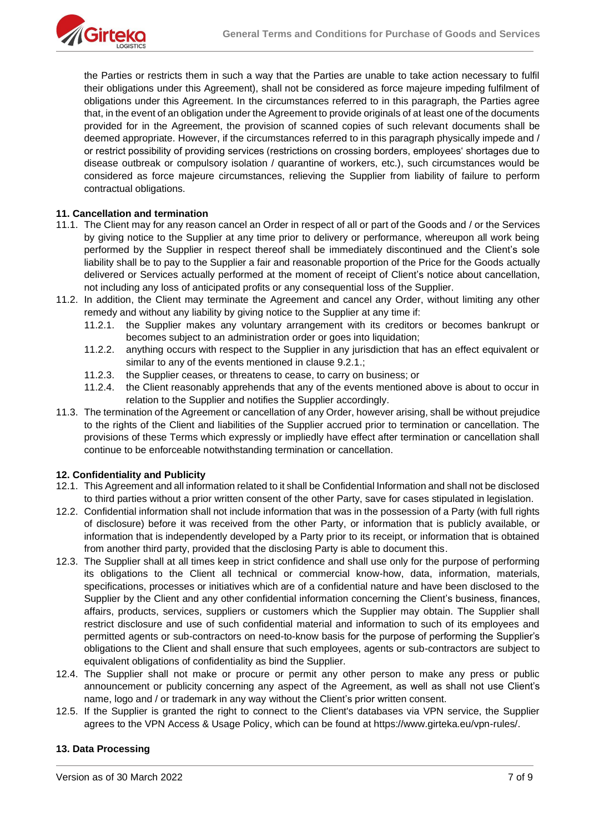the Parties or restricts them in such a way that the Parties are unable to take action necessary to fulfil their obligations under this Agreement), shall not be considered as force majeure impeding fulfilment of obligations under this Agreement. In the circumstances referred to in this paragraph, the Parties agree that, in the event of an obligation under the Agreement to provide originals of at least one of the documents provided for in the Agreement, the provision of scanned copies of such relevant documents shall be deemed appropriate. However, if the circumstances referred to in this paragraph physically impede and / or restrict possibility of providing services (restrictions on crossing borders, employees' shortages due to disease outbreak or compulsory isolation / quarantine of workers, etc.), such circumstances would be considered as force majeure circumstances, relieving the Supplier from liability of failure to perform contractual obligations.

## **11. Cancellation and termination**

- 11.1. The Client may for any reason cancel an Order in respect of all or part of the Goods and / or the Services by giving notice to the Supplier at any time prior to delivery or performance, whereupon all work being performed by the Supplier in respect thereof shall be immediately discontinued and the Client's sole liability shall be to pay to the Supplier a fair and reasonable proportion of the Price for the Goods actually delivered or Services actually performed at the moment of receipt of Client's notice about cancellation, not including any loss of anticipated profits or any consequential loss of the Supplier.
- 11.2. In addition, the Client may terminate the Agreement and cancel any Order, without limiting any other remedy and without any liability by giving notice to the Supplier at any time if:
	- 11.2.1. the Supplier makes any voluntary arrangement with its creditors or becomes bankrupt or becomes subject to an administration order or goes into liquidation;
	- 11.2.2. anything occurs with respect to the Supplier in any jurisdiction that has an effect equivalent or similar to any of the events mentioned in clause 9.2.1.;
	- 11.2.3. the Supplier ceases, or threatens to cease, to carry on business; or
	- 11.2.4. the Client reasonably apprehends that any of the events mentioned above is about to occur in relation to the Supplier and notifies the Supplier accordingly.
- 11.3. The termination of the Agreement or cancellation of any Order, however arising, shall be without prejudice to the rights of the Client and liabilities of the Supplier accrued prior to termination or cancellation. The provisions of these Terms which expressly or impliedly have effect after termination or cancellation shall continue to be enforceable notwithstanding termination or cancellation.

#### **12. Confidentiality and Publicity**

- 12.1. This Agreement and all information related to it shall be Confidential Information and shall not be disclosed to third parties without a prior written consent of the other Party, save for cases stipulated in legislation.
- 12.2. Confidential information shall not include information that was in the possession of a Party (with full rights of disclosure) before it was received from the other Party, or information that is publicly available, or information that is independently developed by a Party prior to its receipt, or information that is obtained from another third party, provided that the disclosing Party is able to document this.
- 12.3. The Supplier shall at all times keep in strict confidence and shall use only for the purpose of performing its obligations to the Client all technical or commercial know-how, data, information, materials, specifications, processes or initiatives which are of a confidential nature and have been disclosed to the Supplier by the Client and any other confidential information concerning the Client's business, finances, affairs, products, services, suppliers or customers which the Supplier may obtain. The Supplier shall restrict disclosure and use of such confidential material and information to such of its employees and permitted agents or sub-contractors on need-to-know basis for the purpose of performing the Supplier's obligations to the Client and shall ensure that such employees, agents or sub-contractors are subject to equivalent obligations of confidentiality as bind the Supplier.
- 12.4. The Supplier shall not make or procure or permit any other person to make any press or public announcement or publicity concerning any aspect of the Agreement, as well as shall not use Client's name, logo and / or trademark in any way without the Client's prior written consent.
- 12.5. If the Supplier is granted the right to connect to the Client's databases via VPN service, the Supplier agrees to the VPN Access & Usage Policy, which can be found at https://www.girteka.eu/vpn-rules/.

#### **13. Data Processing**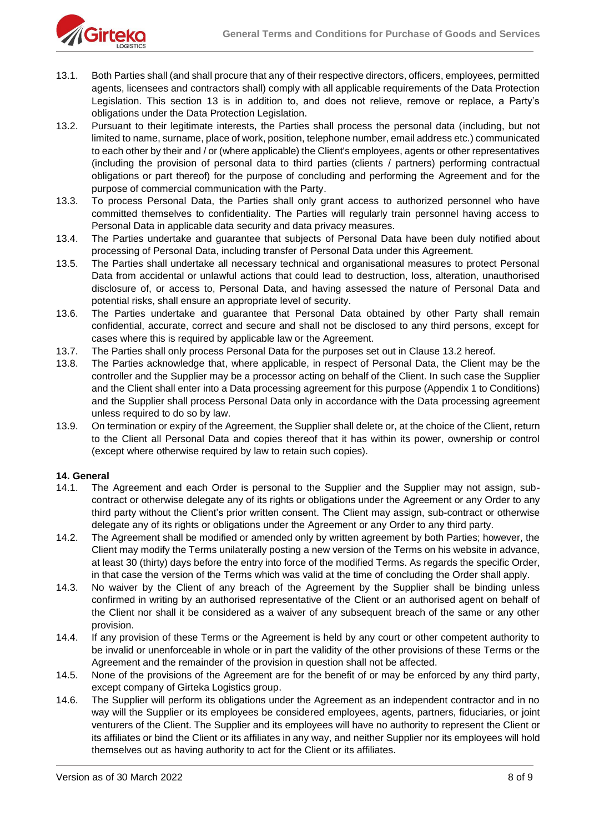

- 13.1. Both Parties shall (and shall procure that any of their respective directors, officers, employees, permitted agents, licensees and contractors shall) comply with all applicable requirements of the Data Protection Legislation. This section 13 is in addition to, and does not relieve, remove or replace, a Party's obligations under the Data Protection Legislation.
- 13.2. Pursuant to their legitimate interests, the Parties shall process the personal data (including, but not limited to name, surname, place of work, position, telephone number, email address etc.) communicated to each other by their and / or (where applicable) the Client's employees, agents or other representatives (including the provision of personal data to third parties (clients / partners) performing contractual obligations or part thereof) for the purpose of concluding and performing the Agreement and for the purpose of commercial communication with the Party.
- 13.3. To process Personal Data, the Parties shall only grant access to authorized personnel who have committed themselves to confidentiality. The Parties will regularly train personnel having access to Personal Data in applicable data security and data privacy measures.
- 13.4. The Parties undertake and guarantee that subjects of Personal Data have been duly notified about processing of Personal Data, including transfer of Personal Data under this Agreement.
- 13.5. The Parties shall undertake all necessary technical and organisational measures to protect Personal Data from accidental or unlawful actions that could lead to destruction, loss, alteration, unauthorised disclosure of, or access to, Personal Data, and having assessed the nature of Personal Data and potential risks, shall ensure an appropriate level of security.
- 13.6. The Parties undertake and guarantee that Personal Data obtained by other Party shall remain confidential, accurate, correct and secure and shall not be disclosed to any third persons, except for cases where this is required by applicable law or the Agreement.
- 13.7. The Parties shall only process Personal Data for the purposes set out in Clause 13.2 hereof.
- 13.8. The Parties acknowledge that, where applicable, in respect of Personal Data, the Client may be the controller and the Supplier may be a processor acting on behalf of the Client. In such case the Supplier and the Client shall enter into a Data processing agreement for this purpose (Appendix 1 to Conditions) and the Supplier shall process Personal Data only in accordance with the Data processing agreement unless required to do so by law.
- 13.9. On termination or expiry of the Agreement, the Supplier shall delete or, at the choice of the Client, return to the Client all Personal Data and copies thereof that it has within its power, ownership or control (except where otherwise required by law to retain such copies).

#### **14. General**

- 14.1. The Agreement and each Order is personal to the Supplier and the Supplier may not assign, subcontract or otherwise delegate any of its rights or obligations under the Agreement or any Order to any third party without the Client's prior written consent. The Client may assign, sub-contract or otherwise delegate any of its rights or obligations under the Agreement or any Order to any third party.
- 14.2. The Agreement shall be modified or amended only by written agreement by both Parties; however, the Client may modify the Terms unilaterally posting a new version of the Terms on his website in advance, at least 30 (thirty) days before the entry into force of the modified Terms. As regards the specific Order, in that case the version of the Terms which was valid at the time of concluding the Order shall apply.
- 14.3. No waiver by the Client of any breach of the Agreement by the Supplier shall be binding unless confirmed in writing by an authorised representative of the Client or an authorised agent on behalf of the Client nor shall it be considered as a waiver of any subsequent breach of the same or any other provision.
- 14.4. If any provision of these Terms or the Agreement is held by any court or other competent authority to be invalid or unenforceable in whole or in part the validity of the other provisions of these Terms or the Agreement and the remainder of the provision in question shall not be affected.
- 14.5. None of the provisions of the Agreement are for the benefit of or may be enforced by any third party, except company of Girteka Logistics group.
- 14.6. The Supplier will perform its obligations under the Agreement as an independent contractor and in no way will the Supplier or its employees be considered employees, agents, partners, fiduciaries, or joint venturers of the Client. The Supplier and its employees will have no authority to represent the Client or its affiliates or bind the Client or its affiliates in any way, and neither Supplier nor its employees will hold themselves out as having authority to act for the Client or its affiliates.